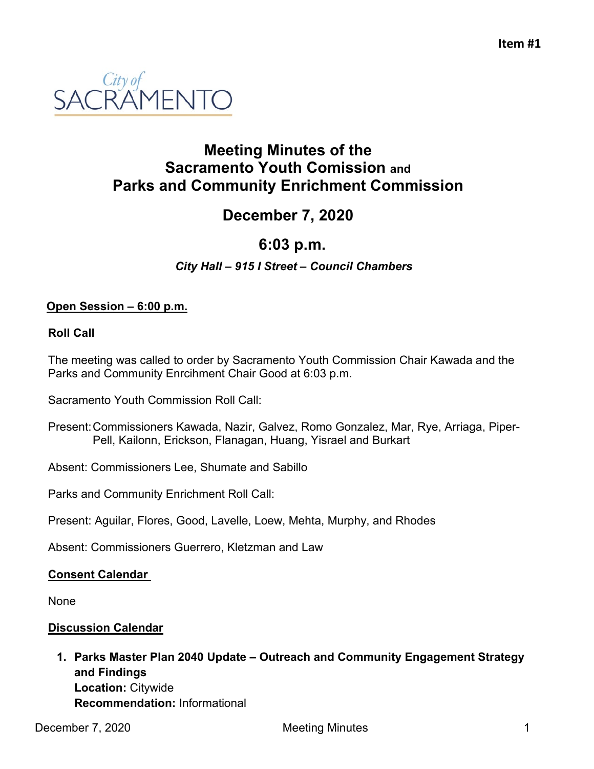

## **Meeting Minutes of the Sacramento Youth Comission and Parks and Community Enrichment Commission**

# **December 7, 2020**

## **6:03 p.m.**

*City Hall – 915 I Street – Council Chambers*

### **Open Session – 6:00 p.m.**

#### **Roll Call**

The meeting was called to order by Sacramento Youth Commission Chair Kawada and the Parks and Community Enrcihment Chair Good at 6:03 p.m.

Sacramento Youth Commission Roll Call:

- Present:Commissioners Kawada, Nazir, Galvez, Romo Gonzalez, Mar, Rye, Arriaga, Piper-Pell, Kailonn, Erickson, Flanagan, Huang, Yisrael and Burkart
- Absent: Commissioners Lee, Shumate and Sabillo

Parks and Community Enrichment Roll Call:

Present: Aguilar, Flores, Good, Lavelle, Loew, Mehta, Murphy, and Rhodes

Absent: Commissioners Guerrero, Kletzman and Law

#### **Consent Calendar**

None

#### **Discussion Calendar**

**1. Parks Master Plan 2040 Update – Outreach and Community Engagement Strategy and Findings Location:** Citywide **Recommendation:** Informational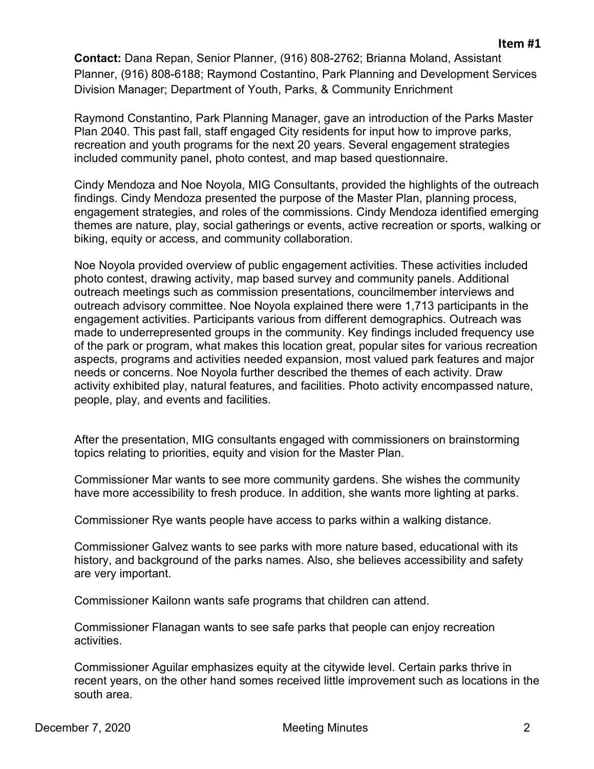**Contact:** Dana Repan, Senior Planner, (916) 808-2762; Brianna Moland, Assistant Planner, (916) 808-6188; Raymond Costantino, Park Planning and Development Services Division Manager; Department of Youth, Parks, & Community Enrichment

Raymond Constantino, Park Planning Manager, gave an introduction of the Parks Master Plan 2040. This past fall, staff engaged City residents for input how to improve parks, recreation and youth programs for the next 20 years. Several engagement strategies included community panel, photo contest, and map based questionnaire.

Cindy Mendoza and Noe Noyola, MIG Consultants, provided the highlights of the outreach findings. Cindy Mendoza presented the purpose of the Master Plan, planning process, engagement strategies, and roles of the commissions. Cindy Mendoza identified emerging themes are nature, play, social gatherings or events, active recreation or sports, walking or biking, equity or access, and community collaboration.

Noe Noyola provided overview of public engagement activities. These activities included photo contest, drawing activity, map based survey and community panels. Additional outreach meetings such as commission presentations, councilmember interviews and outreach advisory committee. Noe Noyola explained there were 1,713 participants in the engagement activities. Participants various from different demographics. Outreach was made to underrepresented groups in the community. Key findings included frequency use of the park or program, what makes this location great, popular sites for various recreation aspects, programs and activities needed expansion, most valued park features and major needs or concerns. Noe Noyola further described the themes of each activity. Draw activity exhibited play, natural features, and facilities. Photo activity encompassed nature, people, play, and events and facilities.

After the presentation, MIG consultants engaged with commissioners on brainstorming topics relating to priorities, equity and vision for the Master Plan.

Commissioner Mar wants to see more community gardens. She wishes the community have more accessibility to fresh produce. In addition, she wants more lighting at parks.

Commissioner Rye wants people have access to parks within a walking distance.

Commissioner Galvez wants to see parks with more nature based, educational with its history, and background of the parks names. Also, she believes accessibility and safety are very important.

Commissioner Kailonn wants safe programs that children can attend.

Commissioner Flanagan wants to see safe parks that people can enjoy recreation activities.

Commissioner Aguilar emphasizes equity at the citywide level. Certain parks thrive in recent years, on the other hand somes received little improvement such as locations in the south area.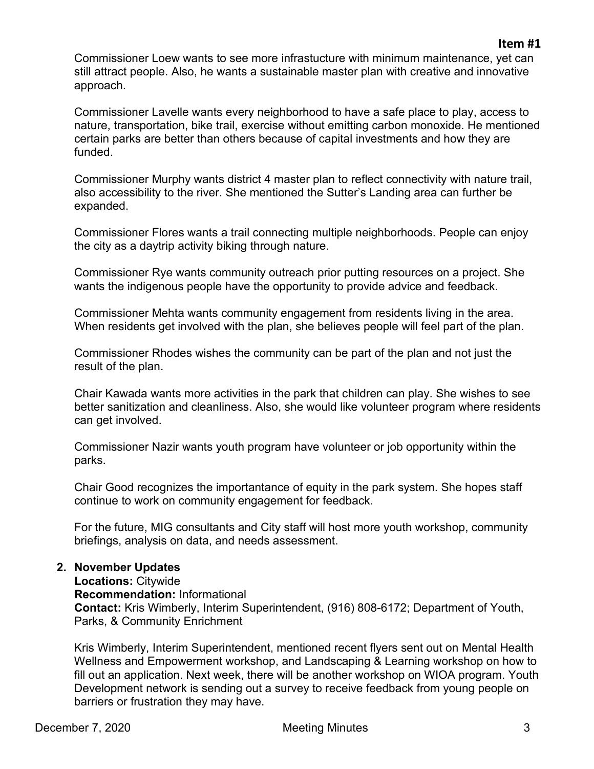Commissioner Loew wants to see more infrastucture with minimum maintenance, yet can still attract people. Also, he wants a sustainable master plan with creative and innovative approach.

Commissioner Lavelle wants every neighborhood to have a safe place to play, access to nature, transportation, bike trail, exercise without emitting carbon monoxide. He mentioned certain parks are better than others because of capital investments and how they are funded.

Commissioner Murphy wants district 4 master plan to reflect connectivity with nature trail, also accessibility to the river. She mentioned the Sutter's Landing area can further be expanded.

Commissioner Flores wants a trail connecting multiple neighborhoods. People can enjoy the city as a daytrip activity biking through nature.

Commissioner Rye wants community outreach prior putting resources on a project. She wants the indigenous people have the opportunity to provide advice and feedback.

Commissioner Mehta wants community engagement from residents living in the area. When residents get involved with the plan, she believes people will feel part of the plan.

Commissioner Rhodes wishes the community can be part of the plan and not just the result of the plan.

Chair Kawada wants more activities in the park that children can play. She wishes to see better sanitization and cleanliness. Also, she would like volunteer program where residents can get involved.

Commissioner Nazir wants youth program have volunteer or job opportunity within the parks.

Chair Good recognizes the importantance of equity in the park system. She hopes staff continue to work on community engagement for feedback.

For the future, MIG consultants and City staff will host more youth workshop, community briefings, analysis on data, and needs assessment.

#### **2. November Updates**

**Locations:** Citywide **Recommendation:** Informational **Contact:** Kris Wimberly, Interim Superintendent, (916) 808-6172; Department of Youth, Parks, & Community Enrichment

Kris Wimberly, Interim Superintendent, mentioned recent flyers sent out on Mental Health Wellness and Empowerment workshop, and Landscaping & Learning workshop on how to fill out an application. Next week, there will be another workshop on WIOA program. Youth Development network is sending out a survey to receive feedback from young people on barriers or frustration they may have.